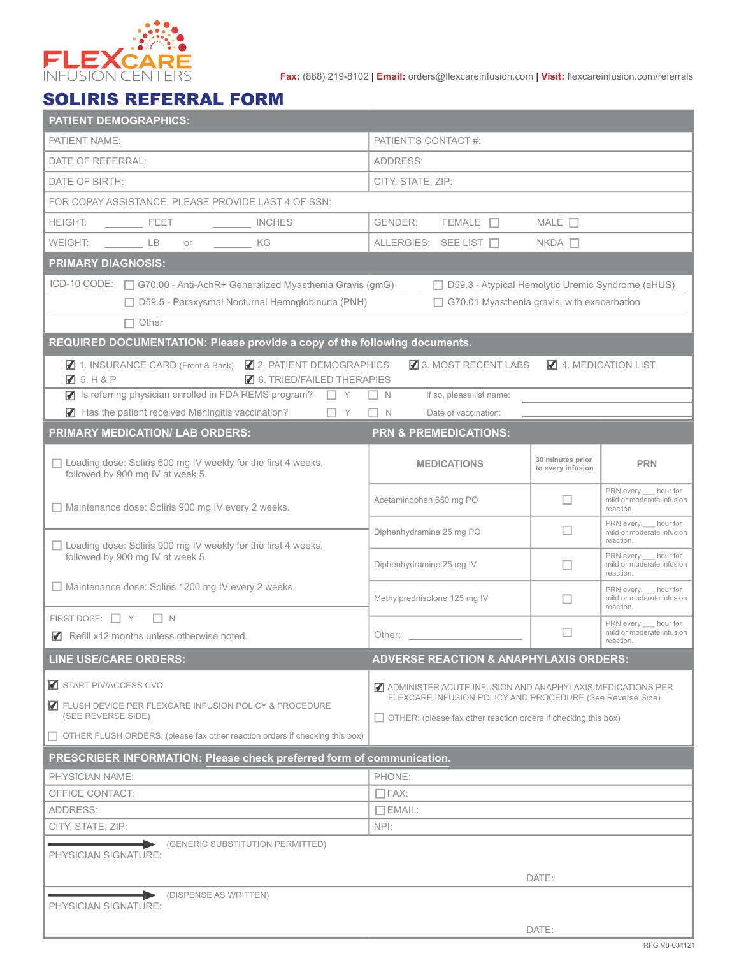

**Fax:** (888) 219-8102 | **Email:** orders@flexcareinfusion.com | **Visit:** flexcareinfusion.com/referrals

## SOLIRIS REFERRAL FORM

| <b>PATIENT DEMOGRAPHICS:</b>                                                                                                    |                                                                                                                                    |                                       |                                                                 |  |  |  |
|---------------------------------------------------------------------------------------------------------------------------------|------------------------------------------------------------------------------------------------------------------------------------|---------------------------------------|-----------------------------------------------------------------|--|--|--|
| PATIENT NAME:                                                                                                                   | PATIENT'S CONTACT #:                                                                                                               |                                       |                                                                 |  |  |  |
| DATE OF REFERRAL:                                                                                                               | ADDRESS:                                                                                                                           |                                       |                                                                 |  |  |  |
| DATE OF BIRTH:                                                                                                                  | CITY, STATE, ZIP:                                                                                                                  |                                       |                                                                 |  |  |  |
| FOR COPAY ASSISTANCE, PLEASE PROVIDE LAST 4 OF SSN:                                                                             |                                                                                                                                    |                                       |                                                                 |  |  |  |
| <b>HEIGHT:</b><br><b>EXAMPLE PEET</b><br>INCHES                                                                                 | <b>GENDER:</b><br>$FEMALE$ $\Box$                                                                                                  | MALE $\square$                        |                                                                 |  |  |  |
| WEIGHT:<br>$\qquad \qquad \Box$ LB<br>KG<br>or                                                                                  | ALLERGIES: SEE LIST                                                                                                                | $NKDA$ $\Box$                         |                                                                 |  |  |  |
| <b>PRIMARY DIAGNOSIS:</b>                                                                                                       |                                                                                                                                    |                                       |                                                                 |  |  |  |
|                                                                                                                                 |                                                                                                                                    |                                       |                                                                 |  |  |  |
| ICD-10 CODE: □ G70.00 - Anti-AchR+ Generalized Myasthenia Gravis (gmG)<br>□ D59.3 - Atypical Hemolytic Uremic Syndrome (aHUS)   |                                                                                                                                    |                                       |                                                                 |  |  |  |
|                                                                                                                                 | $\Box$ D59.5 - Paraxysmal Nocturnal Hemoglobinuria (PNH)<br>$\Box$ G70.01 Myasthenia gravis, with exacerbation                     |                                       |                                                                 |  |  |  |
| $\Box$ Other                                                                                                                    |                                                                                                                                    |                                       |                                                                 |  |  |  |
| REQUIRED DOCUMENTATION: Please provide a copy of the following documents.                                                       |                                                                                                                                    |                                       |                                                                 |  |  |  |
| ◯ 1. INSURANCE CARD (Front & Back) ◯ 2. PATIENT DEMOGRAPHICS<br>$\sqrt{3}$ 5. H & P<br>$\blacksquare$ 6. TRIED/FAILED THERAPIES | 3. MOST RECENT LABS                                                                                                                |                                       | 4. MEDICATION LIST                                              |  |  |  |
| Solution Is referring physician enrolled in FDA REMS program? $\Box$ Y                                                          | $\Box N$<br>If so, please list name:                                                                                               |                                       |                                                                 |  |  |  |
| $\blacksquare$ Has the patient received Meningitis vaccination? $\blacksquare$ Y                                                | Date of vaccination:<br>$\Box$ N                                                                                                   |                                       |                                                                 |  |  |  |
| <b>PRIMARY MEDICATION/ LAB ORDERS:</b>                                                                                          | <b>PRN &amp; PREMEDICATIONS:</b>                                                                                                   |                                       |                                                                 |  |  |  |
| $\Box$ Loading dose: Soliris 600 mg IV weekly for the first 4 weeks,<br>followed by 900 mg IV at week 5.                        | <b>MEDICATIONS</b>                                                                                                                 | 30 minutes prior<br>to every infusion | <b>PRN</b>                                                      |  |  |  |
| Maintenance dose: Soliris 900 mg IV every 2 weeks.                                                                              | Acetaminophen 650 mg PO                                                                                                            | ப                                     | PRN every hour for<br>mild or moderate infusion<br>reaction.    |  |  |  |
| □ Loading dose: Soliris 900 mg IV weekly for the first 4 weeks,                                                                 | Diphenhydramine 25 mg PO                                                                                                           | $\Box$                                | PRN every __ hour for<br>mild or moderate infusion<br>reaction. |  |  |  |
| followed by 900 mg IV at week 5.                                                                                                | Diphenhydramine 25 mg IV                                                                                                           | ш                                     | PRN every __ hour for<br>mild or moderate infusion<br>reaction. |  |  |  |
| $\Box$ Maintenance dose: Soliris 1200 mg IV every 2 weeks.                                                                      | Methylprednisolone 125 mg IV                                                                                                       | П                                     | PRN every hour for<br>mild or moderate infusion<br>reaction.    |  |  |  |
| FIRST DOSE: $\Box$ Y<br>$\Box N$<br>Refill x12 months unless otherwise noted.                                                   | Other:                                                                                                                             | П                                     | PRN every hour for<br>mild or moderate infusion<br>reaction.    |  |  |  |
| <b>LINE USE/CARE ORDERS:</b>                                                                                                    | <b>ADVERSE REACTION &amp; ANAPHYLAXIS ORDERS:</b>                                                                                  |                                       |                                                                 |  |  |  |
| START PIV/ACCESS CVC                                                                                                            | ADMINISTER ACUTE INFUSION AND ANAPHYLAXIS MEDICATIONS PER                                                                          |                                       |                                                                 |  |  |  |
| ELUSH DEVICE PER FLEXCARE INFUSION POLICY & PROCEDURE<br>(SEE REVERSE SIDE)                                                     | FLEXCARE INFUSION POLICY AND PROCEDURE (See Reverse Side)<br>$\Box$ OTHER: (please fax other reaction orders if checking this box) |                                       |                                                                 |  |  |  |
| □ OTHER FLUSH ORDERS: (please fax other reaction orders if checking this box)                                                   |                                                                                                                                    |                                       |                                                                 |  |  |  |
| PRESCRIBER INFORMATION: Please check preferred form of communication.                                                           |                                                                                                                                    |                                       |                                                                 |  |  |  |
| PHYSICIAN NAME:                                                                                                                 | PHONE:                                                                                                                             |                                       |                                                                 |  |  |  |
| OFFICE CONTACT:                                                                                                                 | $\Box$ FAX:                                                                                                                        |                                       |                                                                 |  |  |  |
| ADDRESS:                                                                                                                        | $\Box$ EMAIL:                                                                                                                      |                                       |                                                                 |  |  |  |
| CITY, STATE, ZIP:                                                                                                               | NPI:                                                                                                                               |                                       |                                                                 |  |  |  |
| (GENERIC SUBSTITUTION PERMITTED)<br>PHYSICIAN SIGNATURE:                                                                        |                                                                                                                                    |                                       |                                                                 |  |  |  |
|                                                                                                                                 |                                                                                                                                    | DATE:                                 |                                                                 |  |  |  |
| DISPENSE AS WRITTEN)                                                                                                            |                                                                                                                                    |                                       |                                                                 |  |  |  |
| PHYSICIAN SIGNATURE:                                                                                                            |                                                                                                                                    |                                       |                                                                 |  |  |  |
|                                                                                                                                 |                                                                                                                                    | DATE:                                 |                                                                 |  |  |  |